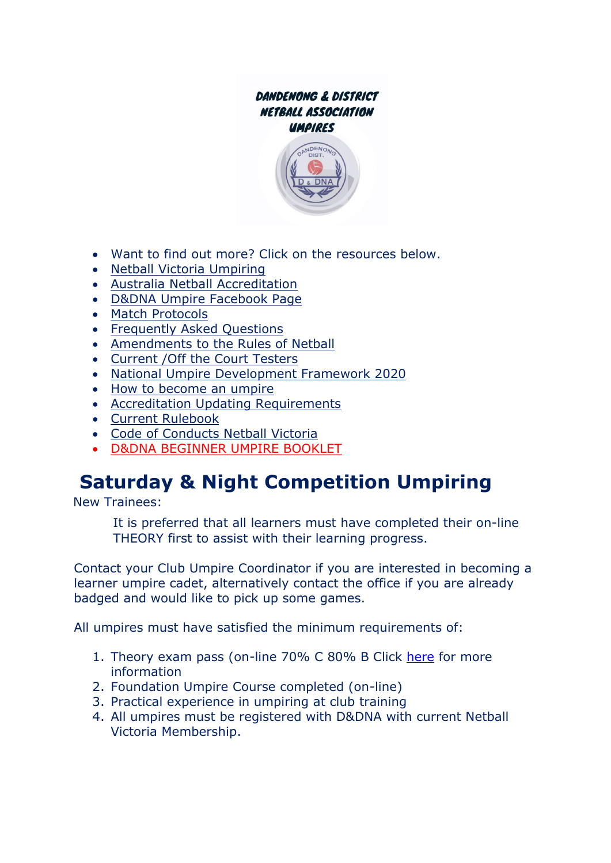#### DANDENONG & DISTRICT **NETBALL ASSOCIATION** UMPIRES



- Want to find out more? Click on the resources below.
- [Netball Victoria](https://vic.netball.com.au/umpiring) Umpiring
- [Australia Netball Accreditation](https://netball.com.au/umpiring-accreditation)
- [D&DNA Umpire Facebook Page](https://www.facebook.com/groups/1996918590364764/)
- [Match Protocols](http://netballdandenong.com.au/wp-content/uploads/2021/06/Match-Protocols-for-Umpires-2018.pdf)
- [Frequently Asked Questions](http://netballdandenong.com.au/wp-content/uploads/2021/06/Frequently-Asked-Questions-2018.pdf)
- Amendments [to the Rules of Netball](http://netballdandenong.com.au/wp-content/uploads/2021/06/amendments-to-rules-of-netball_2018.pdf)
- [Current /Off the Court Testers](https://vic.netball.com.au/testers)
- [National Umpire Development Framework 2020](https://netball.com.au/sites/default/files/2020-02/National-Umpire-Development-Framework-2020-Edition.pdf)
- [How to become an umpire](https://vic.netball.com.au/how-to-become-an-umpire-accreditation)
- [Accreditation Updating Requirements](https://netball.com.au/sites/default/files/2019-06/Umpire-update-criteria.pdf)
- [Current Rulebook](https://netball.com.au/sites/default/files/2020-01/INF_NETBALL%20RULE%20BOOK%20MANUAL%202020.pdf)
- [Code of Conducts Netball Victoria](https://vic.netball.com.au/code-of-conduct)
- [D&DNA BEGINNER UMPIRE BOOKLET](file:///C:/Users/Admin/Documents/DDNA_Umpire%20Booklet%20V2%20_AUG_18%20(1).pdf)

# **Saturday & Night Competition Umpiring**

New Trainees:

It is preferred that all learners must have completed their on-line THEORY first to assist with their learning progress.

Contact your Club Umpire Coordinator if you are interested in becoming a learner umpire cadet, alternatively contact the office if you are already badged and would like to pick up some games.

All umpires must have satisfied the minimum requirements of:

- 1. Theory exam pass (on-line 70% C 80% B Click [here](https://netball.com.au/umpiring-accreditation) for more information
- 2. Foundation Umpire Course completed (on-line)
- 3. Practical experience in umpiring at club training
- 4. All umpires must be registered with D&DNA with current Netball Victoria Membership.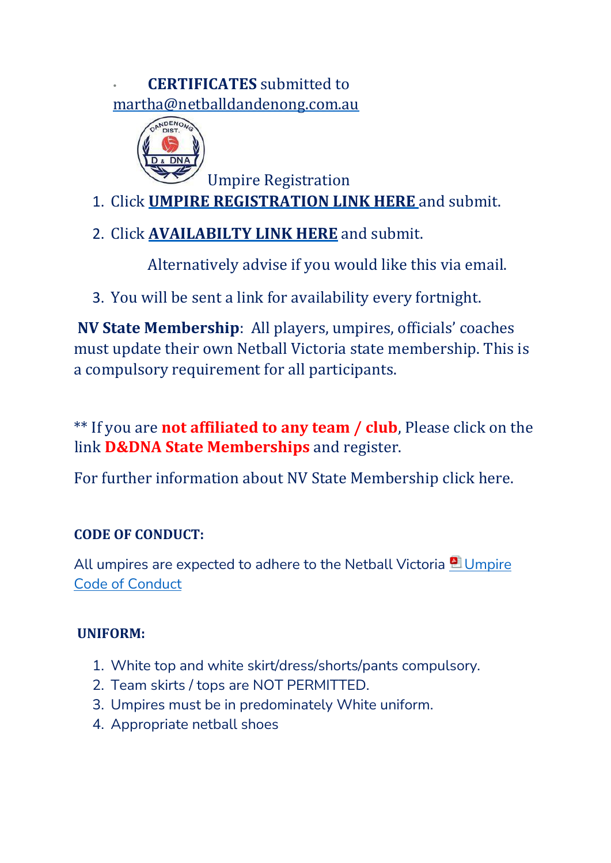• **CERTIFICATES** submitted to martha@netballdandenong.com.au



Umpire Registration

- 1. Click **[UMPIRE REGISTRATION LINK](https://forms.gle/w9UvMuDDmByEipBg9) [HERE](https://forms.gle/w9UvMuDDmByEipBg9)** [an](https://forms.gle/w9UvMuDDmByEipBg9)d submit.
- 2. Click **[AVAILABILTY LINK HERE](https://forms.gle/Ymso9dWftaS8u7eHA)** [a](https://forms.gle/Ymso9dWftaS8u7eHA)nd submit.

Alternatively advise if you would like this via email.

3. You will be sent a link for availability every fortnight.

**NV State Membership**: All players, umpires, officials' coaches must update their own Netball Victoria state membership. This is a compulsory requirement for all participants.

\*\* If you are **not affiliated to any team / club**, Please click on the lin[k](https://netball.resultsvault.com/common/pages/reg/welcome.aspx?fl=1&sslredirect=1&entityid=39449&save=0&id2=SpmiuLHhkRTaM7UfjNmyEf92DyvePnVbeRpGE8Gs%2bcU%3d&id=21737) **[D&DNA State Memberships](https://netball.resultsvault.com/common/pages/reg/welcome.aspx?fl=1&sslredirect=1&entityid=39449&save=0&id2=SpmiuLHhkRTaM7UfjNmyEf92DyvePnVbeRpGE8Gs%2bcU%3d&id=21737)** [a](https://netball.resultsvault.com/common/pages/reg/welcome.aspx?fl=1&sslredirect=1&entityid=39449&save=0&id2=SpmiuLHhkRTaM7UfjNmyEf92DyvePnVbeRpGE8Gs%2bcU%3d&id=21737)nd register.

For further information about NV State Membership click [here.](https://netball.resultsvault.com/common/pages/reg/welcome.aspx?fl=1&sslredirect=1&entityid=39449&save=0&id2=SpmiuLHhkRTaM7UfjNmyEf92DyvePnVbeRpGE8Gs%2bcU%3d&id=21737)

# **CODE OF CONDUCT:**

All umpires are expected to adhere to the Netball Victoria **Umpire** [Code of Conduct](https://vic.netball.com.au/sites/vic/files/2020-09/Code%20of%20Conduct%20-%20Umpire.pdf)

# **UNIFORM:**

- 1. White top and white skirt/dress/shorts/pants compulsory.
- 2. Team skirts / tops are NOT PERMITTED.
- 3. Umpires must be in predominately White uniform.
- 4. Appropriate netball shoes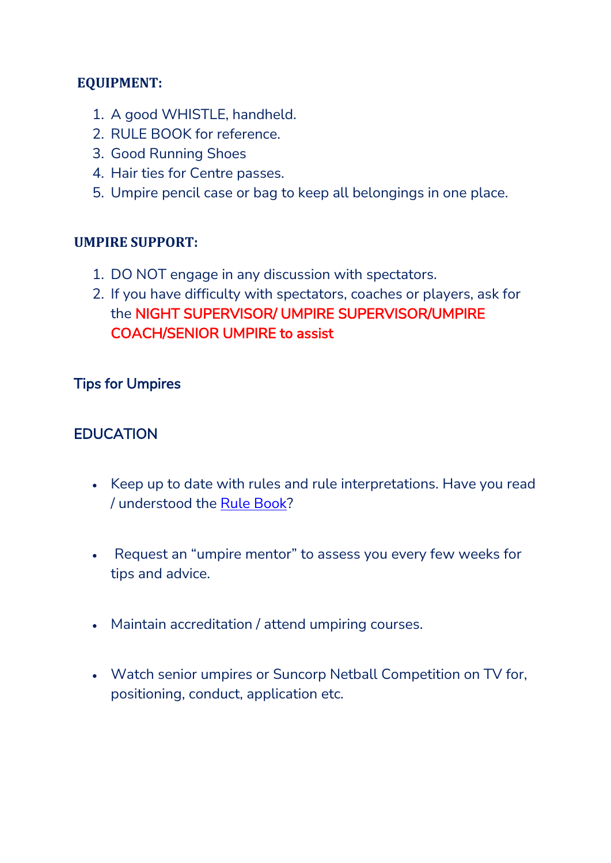#### **EQUIPMENT:**

- 1. A good WHISTLE, handheld.
- 2. RULE BOOK for reference.
- 3. Good Running Shoes
- 4. Hair ties for Centre passes.
- 5. Umpire pencil case or bag to keep all belongings in one place.

#### **UMPIRE SUPPORT:**

- 1. DO NOT engage in any discussion with spectators.
- 2. If you have difficulty with spectators, coaches or players, ask for the NIGHT SUPERVISOR/ UMPIRE SUPERVISOR/UMPIRE COACH/SENIOR UMPIRE to assist

#### Tips for Umpires

### **EDUCATION**

- Keep up to date with rules and rule interpretations. Have you read / understood the [Rule Book?](https://netball.com.au/sites/default/files/2020-01/INF_NETBALL%20RULE%20BOOK%20MANUAL%202020.pdf)
- Request an "umpire mentor" to assess you every few weeks for tips and advice.
- Maintain accreditation / attend umpiring courses.
- Watch senior umpires or Suncorp Netball Competition on TV for, positioning, conduct, application etc.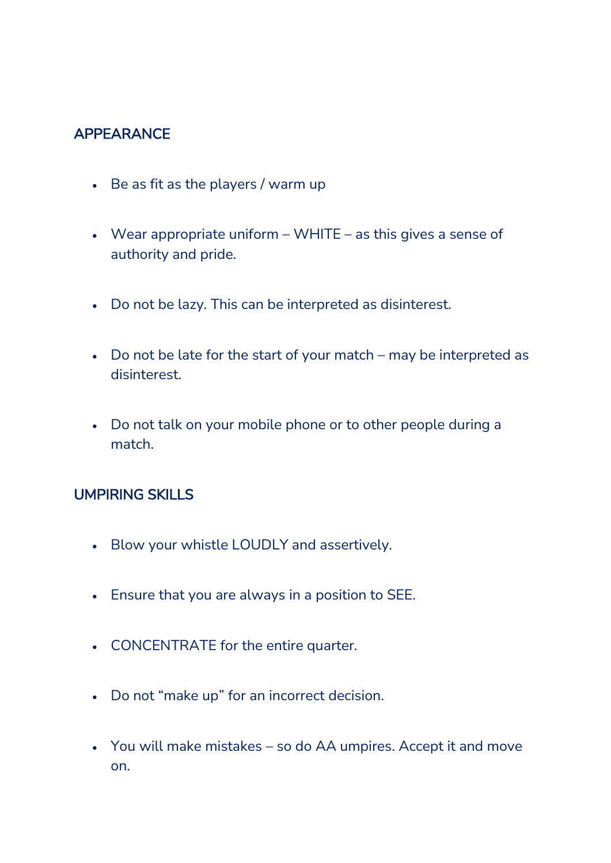# APPEARANCE

- Be as fit as the players / warm up
- Wear appropriate uniform WHITE as this gives a sense of authority and pride.
- Do not be lazy. This can be interpreted as disinterest.
- Do not be late for the start of your match may be interpreted as disinterest.
- Do not talk on your mobile phone or to other people during a match.

#### UMPIRING SKILLS

- Blow your whistle LOUDLY and assertively.
- Ensure that you are always in a position to SEE.
- CONCENTRATE for the entire quarter.
- Do not "make up" for an incorrect decision.
- You will make mistakes so do AA umpires. Accept it and move on.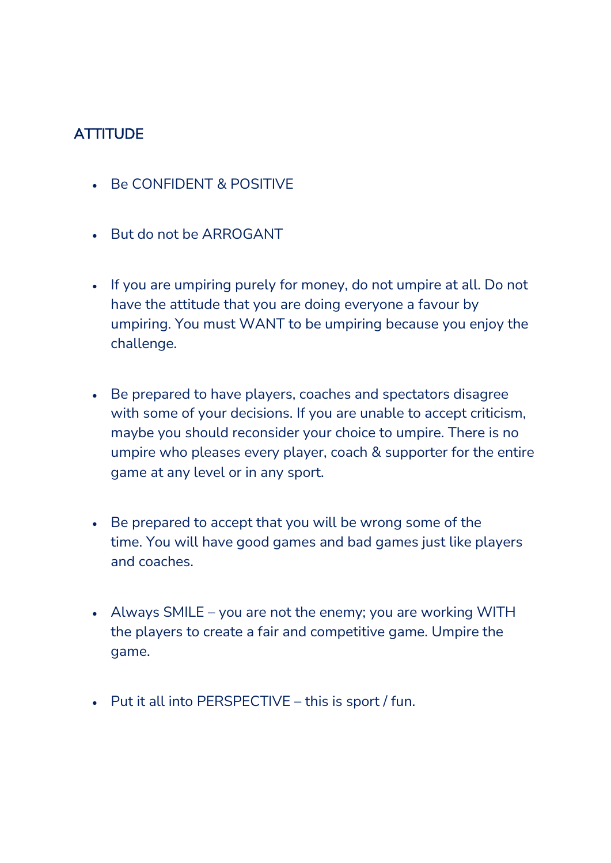# **ATTITUDE**

- Be CONFIDENT & POSITIVE
- But do not be ARROGANT
- If you are umpiring purely for money, do not umpire at all. Do not have the attitude that you are doing everyone a favour by umpiring. You must WANT to be umpiring because you enjoy the challenge.
- Be prepared to have players, coaches and spectators disagree with some of your decisions. If you are unable to accept criticism, maybe you should reconsider your choice to umpire. There is no umpire who pleases every player, coach & supporter for the entire game at any level or in any sport.
- Be prepared to accept that you will be wrong some of the time. You will have good games and bad games just like players and coaches.
- Always SMILE you are not the enemy; you are working WITH the players to create a fair and competitive game. Umpire the game.
- Put it all into PERSPECTIVE this is sport / fun.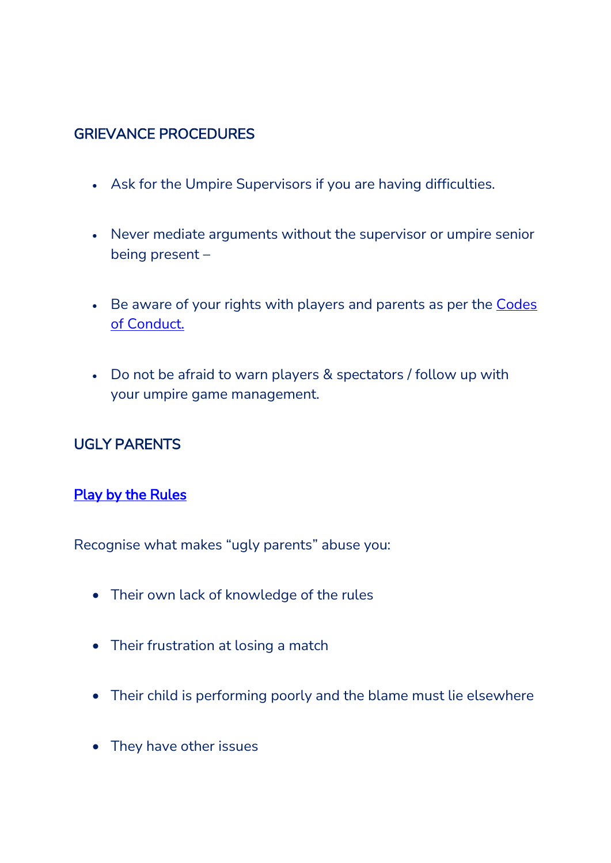# GRIEVANCE PROCEDURES

- Ask for the Umpire Supervisors if you are having difficulties.
- Never mediate arguments without the supervisor or umpire senior being present –
- Be aware of your rights with players and parents as per the [Codes](https://vic.netball.com.au/code-of-conduct)  [of Conduct.](https://vic.netball.com.au/code-of-conduct)
- Do not be afraid to warn players & spectators / follow up with your umpire game management.

# UGLY PARENTS

#### **Play by the Rules**

Recognise what makes "ugly parents" abuse you:

- Their own lack of knowledge of the rules
- Their frustration at losing a match
- Their child is performing poorly and the blame must lie elsewhere
- They have other issues